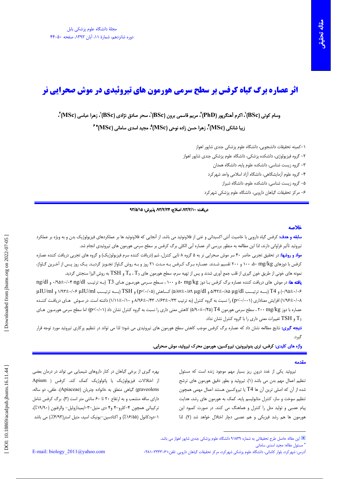# **اثر عصاره برگ گیاه کرفس بر سطح سرمی هورمون های تیروئیدی در موش صحرایی نر**

وسام کوتی (BSc)'، اکرم آهنگرپور (PhD)'، مریم قاسمی برون (BSc)'، سحر صادق نژادی (BSc)'، زهرا عباسی (MSc)''، زيبا شانكي (MSc)، زهرا حسن زاده نوحي (MSc) في مجيد اسدي ساماني (MSc) في من السنت

١–كميته تحقيقات دانشجويي، دانشگاه علوم يزشكي جندي شايور اهواز

۲– گروه فیزیولوژی، دانشکده پزشکی، دانشگاه علوم پزشکی جندی شایور اهواز

٣- گروه زيست شناسي، دانشكده علوم پايه، دانشگاه همدان

۴– گروه علوم آزمایشگاهی، دانشگاه آزاد اسلامی واحد شهرکرد

۵– گروه زیست شناسی، دانشکده علوم، دانشگاه شیراز

۶– مرکز تحقیقات گیاهان دارویی، دانشگاه علوم پزشکی شهرکرد

## دريافت: ٩٣/٢/١٠، اصلاح: ٩٣/٢/٢۴، پذيرش: ٩٣/٥/١٥

## خلاصه

**سابقه و هدف:** کرفس گیاه دارویی با خاصیت آنتی اکسیدانی و غنی از فلاونوئید می باشد. از آنجایی که فلاونوئید ها بر عملکردهای فیزیولوژیک بدن و به ویژه بر عملکرد تیروئید تأثیر فراوانی دارند، لذا این مطالعه به منظور بررسی اثر عصاره آبی الکلی برگ کرفس بر سطح سرمی هورمون های تیروئیدی انجام شد. <mark>مواد و روشها:</mark> در تحقیق تجربی حاضر ۴۰ سر موش صحرایی نر به ۵ گروه ۸ تایی کنترل، شم (دریافت کننده سرم فیزیولوژیک) و گروه های تجربی دریافت کننده عصاره

کرفس با دوزهای n۰۰ ۵۰ mg/kg به ۲۰۰ تقسیم شـدند. عصـاره بـرگ کـرفس بـه مـدت ۲۱ روز و بـه روش گـاواژ تجـویز گردیـد. یـک روز پـس از آخـرین گـاواژ، نمونه های خونی از طریق خون گیری از قلب جمع آوری شدند و پس از تهیه سرم، سطح هورمون های  $T_4$  ،  $T_3$  و  $\rm TSH$  به روش الیزا سنجش گردید. ی<mark>افته ها</mark>: در موش های دریافت کننده عصاره برگ کرفس بـا دوز ۵۰ mg/kg ۵۰ و ۱۰۰ ، سـطح سـرمی هورمـون هـای T3 (بـه ترتیـب ۰/۹۵±۰/۰۴ و ng/dl

۰/۹۵±۰/۰۶) و T4 (بسه ترتيسب ۵/۴۲±۰/۸۹ و ۵/۸۷±۰/۸۹ (۵/۸۷±۰/۸۹ کساهش (۵/۰۱-۵) و TSH (بسه ترتيسب ۱/۹۲لـ۰/۰۶ با ۱/۹۲۳ و µIU/ml ۰۸+۱+۱/۹۶) افزایش معناداری (۲۰۰۱-۱p) را نسبت به گروه کنترل (به ترتیب ۱۳۳+۱۶۳+۱۰/۴۳ (۸۰+۱۸+۱۱/۱) داشته است. در مـوش هـای دریافـت کننـده عصاره با دوز r۰۰ mg/kg ،۲۰۷ سطح سرمی هورمون T4 (۵/۹۰±۰/۴۵) کاهش معنی داری را نسبت به گروه کنترل نشان داد (p<۰/۰۱)؛ اما سطح سرمی هورمـون هـای و TSH تغییرات معنی داری را با گروه کنترل نشان نداد.  $\mathrm{T}_{3}$ 

<mark>نتیجه گیری:</mark> نتایج مطالعه نشان داد که عصاره برگ کرفس موجب کاهش سطح هورمون های تیروئیدی می شود؛ لذا می تواند در تنظیم پرکاری تیروئید مورد توجه قرار گىرد.

واژه های کلیدی: کرفس، تری پدوتیرونین، تیروکسین، هورمون محرک تیروئید، موش صحرایی.

#### مقدمه

تیروئید یکی از غدد درون ریز بسیار مهم موجود زنده است که مسئول تنظیم اعمال مهم بدن می باشد (۱). تیروئید و بطور دقیق هورمون های ترشح شده از آن که اصلی ترین آن ها T4 یا تیروکسین هستند اعمال مهمی همچون تنظیم سوخت و ساز، کنترل متابولیسم پایه، کمک به هورمون های رشد، هدایت پیام عصبی و تولید مثل را کنترل و هماهنگ می کنند. در صورت کمبود این هورمون ها هم رشد فیزیکی و هم عصبی دچار اختلال خواهد شد (۲). لذا

بهره گیری از برخی گیاهان در کنار داروهای شیمیایی می تواند در درمان بعضی از اختلالات فیزیولوژیک یا پاتولوژیک کمک کند. کرفس ( Apium graveolens) گیاهی متعلق به خانواده چتریان (Apiaceae)، علفی، دو ساله، دارای ساقه منشعب و به ارتفاع ٢٠ تا ٤٠ سانتی متر است (٣). برگ كرفس شامل تركيباتي همچون ۴-كلرو-۴ و۴ دي متيل-۳-ايميدازوليل- والرفنون (١٩/٩٠٪)، ١-دودكانول (١۶/٥۵٪) و اكتادسين-يونيک اسيد، متيل استر(٣/٩٣٪.) مي باشد

E-mail: biology  $2011$  (a) yahoo.com

' مسئول مقاله: مجيد اسدى سامانى

آدرس: شهر کرد، بلوار کاشانی، دانشگاه علوم پزشکی شهر کرد، مرکز تحقیقات گیاهان دارویی. تلفن:۳۳۳۳۰۶۱-۳۸۱۰

<sup>■</sup> این مقاله حاصل طرح تحقیقاتی به شماره ۹۱S۳۹ دانشگاه علوم پزشکی جندی شاپور اهواز می باشد.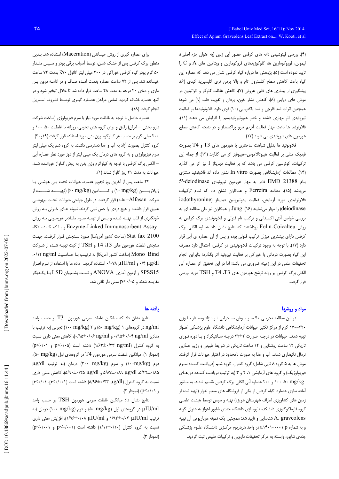(۴). بررسی فیتوشیمی دانه های کرفس حضور آپی ژنین (به عنوان جزء اصلی)، لیمونن، فوروکومارین ها، گلوکوزیدهای فروکومارین و ویتامین های A و C را تایید نموده است (۵). پژوهش ها درباره گیاه کرفس نشان می دهد که عصاره این گیاه باعث کاهش سطح کلسترول تام و بالا بردن تری گلیسیرید کبدی (۶)، پیشگیری از بیماری های قلبی عروقی (۷)، کاهش غلظت گلوکز و کراتینین در موش های دیابتی (٨)، کاهش فشار خون، یرقان و تقویت قلب (٩) می شود؛ همچنین اثرات ضد قارچی و ضد باکتریایی (١٠) قوی دارد. فلاونوئیدها بر فعالیت تیروئیدی اثر مهاری داشته و خطر هیپوتیروئیدیسم را افزایش می دهند (١١). فلاونوئيد ها باعث مهار فعاليت آنزيم تيرو پراكسيداز و در نتيجه كاهش سطح هورمون های تیروئیدی می شوند (١٢).

فلاونوئید ها بدلیل شباهت ساختاری با هورمون های  $\rm{T3}$  و  $\rm{T4}$  بصورت فیدبک منفی بر فعالیت هیپوتالاموس-هیپوفیز اثر می گذارند (١٣)؛ از جمله این ترکیبات، کوئرسین کرفس می باشد که بر فعالیت دیدیناز I نیز اثر می گذارد (١۴). مطالعات آزمایشگاهی بصورت In vitro نشان داده اند فلاونوئید سنتزی بنام 1388 EMD قادر به مهار هورمون تيروئيدي J'-deiodinase میباشد (۱۵). مطالعه Ferreira و همکاران نشان داد که تمام ترکیبات فلاونوئيدي مورد أزمايش، فعاليت يدوتيرونين ديديناز (iodothyronine deiodinase) را مهار می نمایند (۱۶). Jung و همکاران نیز طی مطالعه ای به بررسی خواص آنتی اکسیدانی و ترکیب تام فنولی و فلاونوئیدی برگ کرفس به روش Folin-Coicalteu پرداختند؛ که نتایج نشان داد عصاره الکلی برگ کرفس دارای بیشترین میزان ترکیب فنولی بوده و پس از آن عصاره ی آبی قرار دارد (١٧). با توجه به وجود تركيبات فلاونوئيدي در كرفس، احتمال دارد مصرف این گیاه بصورت درمانی یا خوراکی بر فعالیت تیروئید اثر بگذارد؛ بنابراین انجام تحقیقات علمی در این زمینه ضروری می باشد؛ لذا در این تحقیق اثر عصاره آبی الکلی برگ کرفس بر روند ترشح هورمون های T4 ،T3 و TSH مورد بررسی قرار گرفت.

## مواد و روشها

در این مطالعه تجربی ۴۰ سر موش صحرایی نـر نـژاد ویسـتار بـا وزن ۲۲۰–۱۷۰ گرم از مرکز تکثیر حیوانات آزمایشگاهی دانشگاه علوم پزشکی اهـواز تهیه شدند. حیوانات در درجـه حـرارت ۲±۲۲ درجـه سـانتیگراد و بـا دوره نـوری تاریکی ۱۲ ساعت روشنایی و ۱۲ ساعت تاریکی در شرایط طبیعی و رژیم غـذایی نرمال نگهداری شدند. آب و غذا به صورت نامحدود در اختیار حیوانات قرار گرفت. موش ها به ۵ گروه ۸ تایی شامل: گروه کنترل، گروه شـم (دریافت کننـده سـرم فیزیولوژیک) و گروه های آزمایشی ۱، ۲ و ۳ (به ترتیب دریافت کننـده دوزهـای ۰۰ mg/kg ۱۰۰ و ۲۰۰ عصاره آبی الکلی برگ کرفس تقسیم شدند. به منظور آماده سازی عصاره، گیاه کرفس از یکی از فروشگاه های معتبر اهواز (تهیه شده از زمین های کشاورزی اطراف شهرستان هویزه) تهیه و سپس توسط هیئت علمی گروه فارماکوگنوزی دانشکده داروسازی دانشگاه جندی شاپور اهواز به عنوان گونه A. graveolens شناسایی و تایید شد؛ همچنین یک نمونه هرباریومی آن تهیه و به شماره p (۱۰۰۰۰۰ ۱۴۰۱ در واحد هرباریوم مرکزی دانشگاه علـوم پزشـکی جندی شاپور، وابسته به مرکز تحقیقات دارویی و ترکیبات طبیعی ثبت گردید.

برای عصاره گیری از روش خیساندن (Maceration) استفاده شد. بـدین منظور برگ کرفس پس از خشک شدن، توسط آسیاب برقی پودر و سپس مقـدار ۵۰ گرم پودر گیاه کرفس خوراکی در ۲۰۰ میلی لیتر اتانول ۷۰٪ بمدت ۷۲ ساعت خیسانده شد. پس از ۷۲ ساعت عصاره بدست آمـده صـاف و در ادامـه درون بـن ماری و دمای ۴۰ درجه به مدت ۴۸ ساعت قرار داده شد تا حلال تبخیر شود و در انتها عصاره خشک گردید. تمامی مراحل عصـاره گیـری توسـط ظـروف اسـتریل انجام گرفت (١٨).

عصاره حاصل با توجه به غلظت مورد نیاز با سرم فیزیولوژی (ساخت شرکت دارو پخش – ایران) رقیق و برای گروه های تجربی، روزانه با غلظت ۵۰، ۱۰۰ و ۲۰۰ میلی گرم بر حسب هر کیلوگرم وزن بدن مورد استفاده قرار گرفت (۱۹و۲۰). گروه کنترل بصورت آزاد به آب و غذا دسترسی داشت. به گروه شم یک میلی لیتر سرم فیزیولوژی و به گروه های درمان یک میلی لیتر از دوز مورد نظر عصاره آبی – الكلي برگ كرفس با توجه به كيلوگرم وزن بدن به روش گـاواژ خورانـده شـد. حیوانات به مدت ٢١ روز گاواژ شدند (١).

٢۴ ساعت پس از آخرین روز تجویز عصاره، حیوانات تحت بے هوشی با زایلازیــــــــن (n+ mg/kg) و کتـــــــامین (۶۰ mg/kg) (تهیــــــه شــــــده از شرکت Alfasan– هلند) قرار گرفتند. در طول جراحی حیوانات تحت بیهوشـی عمیق قرار داشتند و هیچ دردی را حس نمی کردند. نمونه هـای خـونی بـه روش خونگیری از قلب تهیـه شـده و پـس از تهیـه سـرم مقـادیر هورمـونی بـه روش Enzyme-Linked Immunosorbent Assay وباكمك دستگاه Stat fax 2100 (ساخت كشور أمريكـا) مـورد سـنجش قـرار گرفـت. جهـت سنجش غلظت هورمون های T3، 43 و TSH از کیت تهیـه شـده از شـرکت Mono Bind (ساخت كشور أمريكا) به ترتيب بـا حساسـيت Mono Bind.. γ μg/dl/> ٠/۴ μg/dl ٠/٠٧٨ استفاده گردید. داده ها با استفاده از نـرم افـزار SPSS15 وأزمون أماري ANOVA وتست پشتيبان LSD بـا يكـديگر مقایسه شدند و p<٠/٠۵ معنی دار تلقی شد.

## يافته ها

نتايج نشان داد كه ميانگين غلظت سرمي هورمون T3 بر حسب واحد ng/ml در گروههای ۱ (۵۰ mg/kg) و ۲ (۱۰۰ mg/kg) تجربی (به ترتیب با مقادیر ۰/۹۵±۰/۰۴ ng/ml ۰/۹۵±۰/۰۶ و ۰/۹۵±۰/۰۶)، کاهش معنی داری نسبت  $p<\cdot/\cdot$ به گروه کنترل (۱/۶۳±۰/۳۳ ng/ml) داشته است (p<۰/۰۵ و ۰/۰ (نمودار ۱). میانگین غلظت سرمی هورمون T4 در گروههای اول (۵۰ mg/kg)، دوم (۱۰۰mg/kg) و سوم (۲۰۰ mg/kg) درمان (به ترتیب µg/dl ۵/۸۲±۰/۸۹ μg/dl (۵/۹۰±۰/۴۵ و ۵/۹۰±۰/۴۵)، كاهش معنى دارى  $p<\!\!\cdot\!/\!\!\cdot\!\!\cdot\cdot p<\!\!\cdot\!/\!\!\cdot\!\!\cdot\!\!\cdot\cdot)$  نسبت به گروه کنترل (۸/۹۶±۰/۴۳ µg/dl) داشته است  $(p<\cdot/\cdot)$ و (۱۰/۰ $(p<\cdot/\cdot)$ ).

نتايج نشان داد ميانگين غلظت سرمي هورمون TSH بر حسب واحد uIU/ml در گروههای اول (۵۰ mg/kg) و دوم (۱۰۰ mg/kg) درمان (به ترتيب ١/٩٣٤٠/٠۶ µIU/ml ١/٩٣٤٠/٠۶ و ١/٩٧٤٠٠١٩٤)، افزايش معنى دارى  $(p<\cdot/\cdot\cdot)$  نسبت به گروه کنترل (۱/۱۰±۰/۱۰) داشته است (۲۰۰۱×>p (نمودار ۳).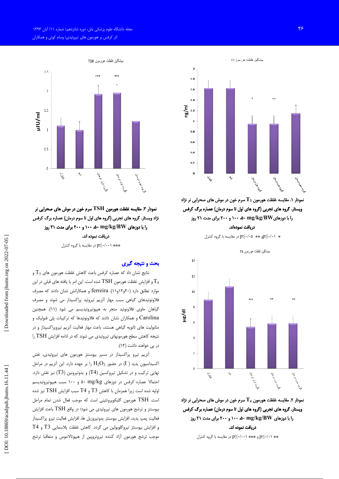

نمودار ۳. مقایسه غلظت هورمون TSH سرم خون در موش های صحرایی نر نژاد ویستار. گروه های تجربی (گروه های اول تا سوم درمان) عصاره برگ کرفس را با دوزهای mg/kg/BW ۵۰ هـ ۱۰۰ و ۲۰۰ برای مدت ۲۱ روز دريافت نموده اند.

\*\*\* p≤٠/٠٠١) در مقايسه با گروه كنترل

### بحث و نتیجه گیری

نتایج نشان داد که عصاره کرفس باعث کاهش غلظت هورمون های  $\mathrm{T}_3$  و و افزایش غلظت هورمون  $\operatorname{TSH}$  شده است. این امر با یافته های قبلی در این  $\mathrm{T}_4$ موارد تطابق دارد (٢٠و١٢و١١). ferreira و همكارانش نشان دادند كه مصرف فلاونوئیدهای گیاهی سبب مهار آنزیم تیروئید پراکسیداز می شوند و مصرف گیاهان حاوی فلاونوئید منجر به هیپوتیروئیدیسم می شود (۱۱). همچنین Carolina و همکاران نشان دادند که فلاونوئیدها که ترکیبات پلی فنولیک و متابولیت های ثانویه گیاهی هستند، باعث مهار فعالیت آنزیم تیروپراکسیداز و در نتیجه کاهش سطح هورمونهای تیروئیدی می شوند که در ادامه افزایش TSH را در یی خواهند داشت (۱۲).

آنزیم تیرو پراکسیداز در مسیر بیوسنتز هورمون های تیروئیدی، نقش اکسیداسیون یدید (I ) در حضور  $\mathrm{H}_2\mathrm{O}_2$  را بر عهده دارد. این آنزیم در مراحل نهایی ترکیب و در تشکیل تیروکسین (T4) و یدوتیرونین (T3) نیز نقش دارد. احتمالا عصاره کرفس در دوزهای ۵۰ mg/kg و ۱۰۰ سبب هیپوتیروئیدیسم اوليه شده است زيرا همزمان با كاهش T3 و T4 سبب افزايش  $\operatorname{TSH}$  نيز شده است. TSH هورمون گلیکوپروتئینی است که موجب فعال شدن تمام مراحل بیوسنتز و ترشح هورمون های تیروئیدی می شود؛ در واقع TSH باعث افزایش فعاليت پمپ يديد، افزايش بيوسنتز يدوتيروزيل ها، افزايش فعاليت تيرو پراكسيداز و افزایش بیوسنتز تیروگلوبولین می گردد. کاهش غلظت پلاسمایی T3 و T4 موجب ترشح هورمون آزاد كننده تيروتروپين از هيپوتالاموس و متعاقبا ترشح



نمودار ۱. مقایسه غلظت هورمون  $\mathbf{T}_3$  سرم خون در موش های صحرایی نر نژاد ویستار. گروه های تجربی (گروه های اول تا سوم درمان) عصاره برگ کرفس را با دوزهایRV(Ry/BW) ۵۰ هه ۱۰۰ و ۲۰۰ برای مدت ۲۱ روز دريافت نمودماند. \* p≤٠/٠١+و \*\* p≤٠/٠۵ در مقايسه با گروه كنترل

.<br>ميانگين غلظت هورمون T4  $14$  $12$ 



نمودار ۲. مقایسه غلظت هورمون  $\mathbf{T}_4$  سرم خون در موش های صحرایی نر نژاد ویستار. گروه های تجربی (گروه های اول تا سوم درمان) عصاره برگ کرفس را با دوزهای mg/kg/BW ۵۰ ۵۰ ۱۰۰ و ۲۰۰ برای مدت ۲۱ روز دريافت نموده اند.

\*\* 10⁄2/14 و \*\*\* 10⁄2/1⁄2 در مقايسه با گروه كنترل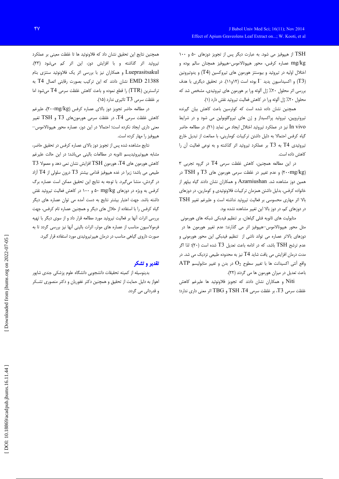TSH از هیپوفیز می شود. به عبارت دیگر پس از تجویز دوزهای ۵۰ و ۱۰۰ mg/kg عصاره کرفس، محور هیپوتالاموس-هیپوفیز همچنان سالم بوده و اختلال اولیه در تیروئید و بیوسنتز هورمون های تیروکسین (T4) و یدوتیرونین (T3) و اکسیداسیون یدید I بوده است (۱۲و۱۱). در تحقیق دیگری با هدف بررسی اثر محلول ۲۰٪ ژل آلوئه ورا بر هورمون های تیروئیدی، مشخص شد که محلول ٢٠٪ ژل آلوئه ورا در كاهش فعاليت تيروئيد نقش دارد (١).

همچنین نشان داده شده است که کوئرسین باعث کاهش بیان گیرنده تیروتروپین، تیروئید پراکسیداز و ژن های تیروگلوبولین می شود و در شرایط In vivo نیز در عملکرد تیروئید اختلال ایجاد می نماید (۲۱). در مطالعه حاضر گیاه کرفس احتمالا به دلیل داشتن ترکیبات کومارینی، با ممانعت از تبدیل خارج تیروئیدی T4 به T3 بر عملکرد تیروئید اثر گذاشته و به نوعی فعالیت آن را كاهش داده است.

در این مطالعه همچنین، کاهش غلظت سرمی T4 در گروه تجربی ۳ (۲۰۰mg/kg) و عدم تغییر در غلظت سرمی هورمون های T3 و TSH در همین دوز مشاهده شد. Azarniushan و همکاران نشان دادند گیاه بیلهر از خانواده کرفس، بدلیل داشتن همزمان ترکیبات فلاونوئیدی و کومارین، در دوزهای بالا اثر مهاری محسوسی بر فعالیت تیروئید نداشته است و علیرغم تغییر TSH در دوزهای کم، در دوز بالا این تغییر مشاهده نشده بود.

متابولیت های ثانویه فنلی گیاهان، بر تنظیم فیدبکی شبکه های هورمونی مثل محور هیپوتالاموس—هیپوفیز اثر می گذارند؛ عدم تغییر هورمون ها در دوزهای بالاتر عصاره می تواند ناشی از تنظیم فیدبکی این محور هورمونی و عدم ترشح TSH باشد، که در ادامه باعث تعدیل T3 شده است (۲۰)؛ لذا اگر مدت درمان افزایش می یافت شاید T4 نیز به محدوده طبیعی نزدیک می شد. در ATP واقع أنتى اكسيدانت ها با تغيير سطوح  $\mathrm{O}_2$  در بدن و تغيير متابوليسم باعث تعدیل در میزان هورمون ها می گردند (٢٢).

Niti و همکاران نشان دادند که تجویز فلاونوئید ها علیرغم کاهش غلظت سرمی T3، بر غلظت سرمی TSH ،T4 و TBG اثر معنی داری ندارد؛

همچنین نتایج این تحقیق نشان داد که فلاونوئید ها تا غلظت معینی بر عملکرد تیروئید اثر گذاشته و با افزایش دوز، این اثر کم میشود (۲۳). Lueprasitsakul و همکاران نیز با بررسی اثر یک فلاونوئید سنتزی بنام EMD 21388 نشان دادند که این ترکیب بصورت رقابتی اتصال T4 به ترانسترین (TTR) را قطع نموده و باعث کاهش غلظت سرمی T4 میشود اما بر غلظت سرمی T3 تاثیری ندارد (١۵).

در مطالعه حاضر تجویز دوز بالای عصاره کرفس (۲۰۰mg/kg)، علیرغم كاهش غلظت سرمي T4، در غلظت سرمي هورمونهاي T3 و TSH تغيير معنی داری ایجاد نکرده است؛ احتمالا در این دوز، عصاره محور هیپوتالاموس-هیپوفیز را مهار کرده است.

نتایج مشاهده شده پس از تجویز دوز بالای عصاره کرفس در تحقیق حاضر، مشابه هیپوتیروئیدیسم ثانویه در مطالعات بالینی میباشد؛ در این حالت علیرغم  $\rm T3$  کاهش هورمون های  $\rm T4$ ، هورمون  $\rm TSH$  افزایش نشان نمی دهد و معمولا طبیعی می باشد؛ زیرا در غده هیپوفیز قدامی بیشتر T3 درون سلولی از T4 آزاد در گردش، منشا میگیرد. با توجه به نتایج این تحقیق ممکن است عصاره برگ کرفس به ویژه در دوزهای mg/kg ۵۰ و ۱۰۰ در کاهش فعالیت تیروئید نقش داشته باشد. جهت اعتبار بیشتر نتایج به دست آمده می توان عصاره های دیگر گیاه کرفس را با استفاده از حلال های دیگر و همچنین عصاره تام کرفس، جهت بررسی اثرات أنها بر فعالیت تیروئید مورد مطالعه قرار داد و از سوی دیگر با تهیه فرمولاسیون مناسب از عصاره های موثر، اثرات بالینی آنها نیز بررسی گردد تا به صورت داروی گیاهی مناسب در درمان هیپرتیروئیدی مورد استفاده قرار گیرد.

# تقدير و تشكر

بدینوسیله از کمیته تحقیقات دانشجویی دانشگاه علوم پزشکی جندی شاپور اهواز به دلیل حمایت از تحقیق و همچنین دکتر غفوریان و دکتر منصوری تشـکر و قدردانی می گردد.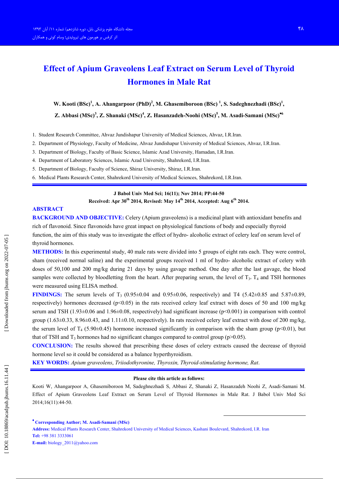# **Effect of Apium Graveolens Leaf Extract on Serum Level of Thyroid Hormones in Male Rat**

W. Kooti  $(BSc)^1$ , A. Ahangarpoor  $(PhD)^2$ , M. Ghasemiboroon  $(BSc)^1$ , S. Sadeghnezhadi  $(BSc)^1$ , Z. Abbasi (MSc)<sup>3</sup>, Z. Shanaki (MSc)<sup>4</sup>, Z. Hasanzadeh-Noohi (MSc)<sup>5</sup>, M. Asadi-Samani (MSc)<sup>\*6</sup>

- 1. Student Research Committee, Ahvaz Jundishapur University of Medical Sciences, Ahvaz, I.R.Iran.
- 2. Department of Physiology, Faculty of Medicine, Ahvaz Jundishapur University of Medical Sciences, Ahvaz, I.R.Iran.
- 3. Department of Biology, Faculty of Basic Science, Islamic Azad University, Hamadan, I.R.Iran.
- 4. Department of Laboratory Sciences, Islamic Azad University, Shahrekord, I.R.Iran.
- 5. Department of Biology, Faculty of Science, Shiraz University, Shiraz, I.R.Iran.
- 6. Medical Plants Research Center, Shahrekord University of Medical Sciences, Shahrekord, I.R.Iran.

## J Babol Univ Med Sci; 16(11); Nov 2014; PP:44-50 Received: Apr 30<sup>th</sup> 2014, Revised: May 14<sup>th</sup> 2014, Accepted: Aug 6<sup>th</sup> 2014.

## **ABSTRACT**

**BACKGROUND AND OBJECTIVE:** Celery (Apium graveolens) is a medicinal plant with antioxidant benefits and rich of flavonoid. Since flavonoids have great impact on physiological functions of body and especially thyroid function, the aim of this study was to investigate the effect of hydro-alcoholic extract of celery leaf on serum level of thyroid hormones.

METHODS: In this experimental study, 40 male rats were divided into 5 groups of eight rats each. They were control, sham (received normal saline) and the experimental groups received 1 ml of hydro- alcoholic extract of celery with doses of 50,100 and 200 mg/kg during 21 days by using gavage method. One day after the last gavage, the blood samples were collected by bloodletting from the heart. After preparing serum, the level of  $T_3$ ,  $T_4$  and TSH hormones were measured using ELISA method.

**FINDINGS:** The serum levels of T<sub>3</sub> (0.95±0.04 and 0.95±0.06, respectively) and T4 (5.42±0.85 and 5.87±0.89, respectively) hormones decreased ( $p<0.05$ ) in the rats received celery leaf extract with doses of 50 and 100 mg/kg serum and TSH  $(1.93\pm0.06$  and  $1.96\pm0.08$ , respectively) had significant increase ( $p<0.001$ ) in comparison with control group  $(1.63\pm0.33, 8.96\pm0.43,$  and  $1.11\pm0.10$ , respectively). In rats received celery leaf extract with dose of 200 mg/kg, the serum level of T<sub>4</sub> (5.90±0.45) hormone increased significantly in comparison with the sham group ( $p$ <0.01), but that of TSH and  $T_3$  hormones had no significant changes compared to control group ( $p > 0.05$ ).

**CONCLUSION:** The results showed that prescribing these doses of celery extracts caused the decrease of thyroid hormone level so it could be considered as a balance hyperthyroidism.

**KEY WORDS:** Apium graveolens, Triiodothyronine, Thyroxin, Thyroid-stimulating hormone, Rat.

#### Please cite this article as follows:

Kooti W, Ahangarpoor A, Ghasemiboroon M, Sadeghnezhadi S, Abbasi Z, Shanaki Z, Hasanzadeh Noohi Z, Asadi-Samani M, Effect of Apium Graveolens Leaf Extract on Serum Level of Thyroid Hormones in Male Rat. J Babol Univ Med Sci 2014:16(11):44-50.

\* Corresponding Author; M. Asadi-Samani (MSc) Address: Medical Plants Research Center, Shahrekord University of Medical Sciences, Kashani Boulevard, Shahrekord, I.R. Iran Tel: +98 381 3333061 E-mail: biology\_2011@yahoo.com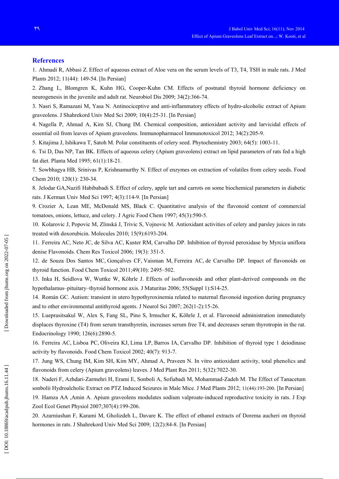## **References**

1. Ahmadi R, Abbasi Z. Effect of aqueous extract of Aloe vera on the serum levels of T3, T4, TSH in male rats. J Med Plants 2012; 11(44): 149-54. [In Persian]

2. Zhang L, Blomgren K, Kuhn HG, Cooper-Kuhn CM. Effects of postnatal thyroid hormone deficiency on neurogenesis in the juvenile and adult rat. Neurobiol Dis 2009; 34(2):366-74.

3. Nasri S, Ramazani M, Yasa N. Antinociceptive and anti-inflammatory effects of hydro-alcoholic extract of Apium graveolens. J Shahrekord Univ Med Sci 2009; 10(4):25-31. [In Persian]

4. Nagella P, Ahmad A, Kim SJ, Chung IM. Chemical composition, antioxidant activity and larvicidal effects of essential oil from leaves of Apium graveolens. Immunopharmacol Immunotoxicol 2012; 34(2):205-9.

5. Kitajima J, Ishikawa T, Satoh M. Polar constituents of celery seed. Phytochemistry 2003; 64(5): 1003-11.

6. Tsi D, Das NP, Tan BK. Effects of aqueous celery (Apium graveolens) extract on lipid parameters of rats fed a high fat diet. Planta Med 1995; 61(1):18-21.

7. Sowbhagya HB, Srinivas P, Krishnamurthy N. Effect of enzymes on extraction of volatiles from celery seeds. Food Chem 2010; 120(1): 230-34.

8. Jelodar GA, Nazifi Habibabadi S. Effect of celery, apple tart and carrots on some biochemical parameters in diabetic rats. J Kerman Univ Med Sci 1997; 4(3):114-9. [In Persian]

9. Crozier A, Lean ME, McDonald MS, Black C. Quantitative analysis of the flavonoid content of commercial tomatoes, onions, lettuce, and celery, J Agric Food Chem 1997; 45(3):590-5.

10. Kolarovic J, Popovic M, Zlinská J, Trivic S, Vojnovic M. Antioxidant activities of celery and parsley juices in rats treated with doxorubicin. Molecules 2010; 15(9):6193-204.

11. Ferreira AC, Neto JC, de Silva AC, Kuster RM, Carvalho DP. Inhibition of thyroid peroxidase by Myrcia uniflora denise Flavonoids. Chem Res Toxicol 2006; 19(3): 351-5.

12. de Souza Dos Santos MC, Gonçalves CF, Vaisman M, Ferreira AC, de Carvalho DP. Impact of flavonoids on thyroid function. Food Chem Toxicol  $2011;49(10)$ :  $2495-502$ .

13. Inka H, Seidlova W, Wuttke W, Köhrle J. Effects of isoflavonoids and other plant-derived compounds on the hypothalamus-pituitary-thyroid hormone axis. J Maturitas 2006; 55(Suppl 1):S14-25.

14. Román GC, Autism: transient in utero hypothyroxinemia related to maternal flavonoid ingestion during pregnancy and to other environmental antithyroid agents. J Neurol Sci  $2007$ ;  $262(1-2)$ : 15-26.

15. Lueprasitsakul W, Alex S, Fang SL, Pino S, Irmscher K, Köhrle J, et al. Flavonoid administration immediately displaces thyroxine (T4) from serum transthyretin, increases serum free T4, and decreases serum thyrotropin in the rat. Endocrinology 1990; 126(6):2890-5.

16. Ferreira AC, Lisboa PC, Oliveira KJ, Lima LP, Barros IA, Carvalho DP. Inhibition of thyroid type 1 deiodinase activity by flavonoids. Food Chem Toxicol 2002; 40(7): 913-7.

17. Jung WS, Chung IM, Kim SH, Kim MY, Ahmad A, Praveen N. In vitro antioxidant activity, total phenolics and flavonoids from celery (Apium graveolens) leaves. J Med Plant Res 2011; 5(32):7022-30.

18. Naderi F, Azhdari-Zarmehri H, Erami E, Sonboli A, Sofiabadi M, Mohammad-Zadeh M. The Effect of Tanacetum sonbolii Hydroalcholic Extract on PTZ Induced Seizures in Male Mice. J Med Plants 2012; 11(44):193-200. [In Persian] 19. Hamza AA ,Amin A. Apium graveolens modulates sodium valproate-induced reproductive toxicity in rats. J Exp Zool Ecol Genet Physiol 2007;307(4):199-206.

20. Azarniushan F, Karami M, Gholizdeh L, Davare K. The effect of ethanol extracts of Dorema aucheri on thyroid hormones in rats. J Shahrekord Univ Med Sci 2009; 12(2):84-8. [In Persian]

Downloaded from jbums.org on 2022-07-05